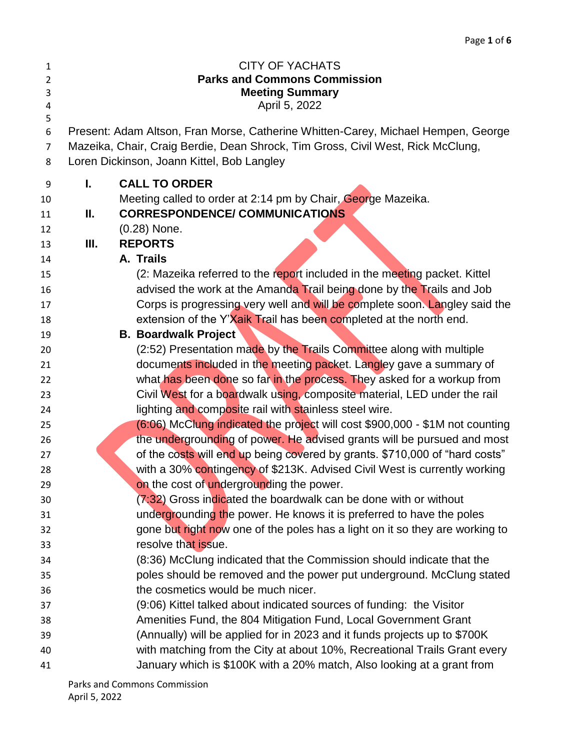| $\mathbf{1}$   |      | <b>CITY OF YACHATS</b>                                                            |  |
|----------------|------|-----------------------------------------------------------------------------------|--|
| $\overline{2}$ |      | <b>Parks and Commons Commission</b>                                               |  |
| 3              |      | <b>Meeting Summary</b>                                                            |  |
| 4              |      | April 5, 2022                                                                     |  |
| 5              |      |                                                                                   |  |
| 6              |      | Present: Adam Altson, Fran Morse, Catherine Whitten-Carey, Michael Hempen, George |  |
| 7              |      | Mazeika, Chair, Craig Berdie, Dean Shrock, Tim Gross, Civil West, Rick McClung,   |  |
| 8              |      | Loren Dickinson, Joann Kittel, Bob Langley                                        |  |
| 9              | L.   | <b>CALL TO ORDER</b>                                                              |  |
| 10             |      | Meeting called to order at 2:14 pm by Chair, George Mazeika.                      |  |
| 11             | П.   | <b>CORRESPONDENCE/ COMMUNICATIONS</b>                                             |  |
| 12             |      | $(0.28)$ None.                                                                    |  |
| 13             | III. | <b>REPORTS</b>                                                                    |  |
| 14             |      | A. Trails                                                                         |  |
| 15             |      | (2: Mazeika referred to the report included in the meeting packet. Kittel         |  |
| 16             |      | advised the work at the Amanda Trail being done by the Trails and Job             |  |
| 17             |      | Corps is progressing very well and will be complete soon. Langley said the        |  |
| 18             |      | extension of the Y'Xaik Trail has been completed at the north end.                |  |
| 19             |      | <b>B. Boardwalk Project</b>                                                       |  |
| 20             |      | (2:52) Presentation made by the Trails Committee along with multiple              |  |
| 21             |      | documents included in the meeting packet. Langley gave a summary of               |  |
| 22             |      | what has been done so far in the process. They asked for a workup from            |  |
| 23             |      | Civil West for a boardwalk using, composite material, LED under the rail          |  |
| 24             |      | lighting and composite rail with stainless steel wire.                            |  |
| 25             |      | (6:06) McClung indicated the project will cost \$900,000 - \$1M not counting      |  |
| 26             |      | the undergrounding of power. He advised grants will be pursued and most           |  |
| 27             |      | of the costs will end up being covered by grants. \$710,000 of "hard costs"       |  |
| 28             |      | with a 30% contingency of \$213K. Advised Civil West is currently working         |  |
| 29             |      | on the cost of undergrounding the power.                                          |  |
| 30             |      | (7:32) Gross indicated the boardwalk can be done with or without                  |  |
| 31             |      | undergrounding the power. He knows it is preferred to have the poles              |  |
| 32             |      | gone but right now one of the poles has a light on it so they are working to      |  |
| 33             |      | resolve that issue.                                                               |  |
| 34             |      | (8:36) McClung indicated that the Commission should indicate that the             |  |
| 35             |      | poles should be removed and the power put underground. McClung stated             |  |
| 36             |      | the cosmetics would be much nicer.                                                |  |
| 37             |      | (9:06) Kittel talked about indicated sources of funding: the Visitor              |  |
| 38             |      | Amenities Fund, the 804 Mitigation Fund, Local Government Grant                   |  |
| 39             |      | (Annually) will be applied for in 2023 and it funds projects up to \$700K         |  |
| 40             |      | with matching from the City at about 10%, Recreational Trails Grant every         |  |
| 41             |      | January which is \$100K with a 20% match, Also looking at a grant from            |  |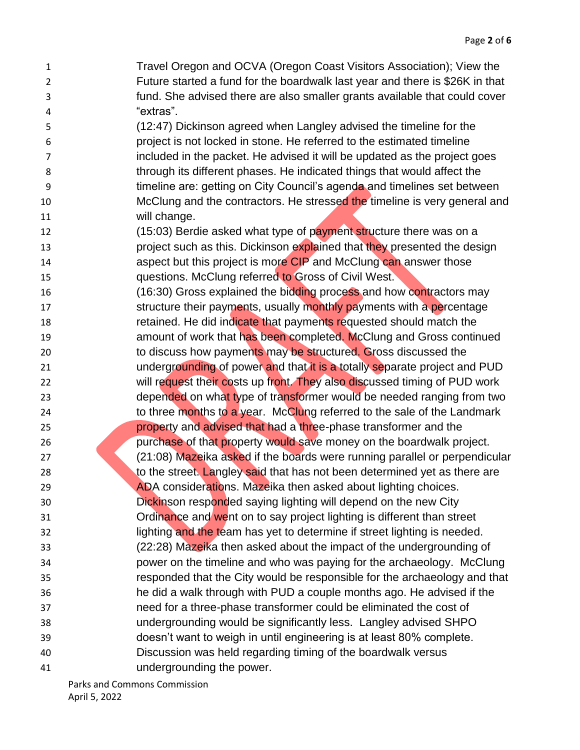- Travel Oregon and OCVA (Oregon Coast Visitors Association); View the Future started a fund for the boardwalk last year and there is \$26K in that fund. She advised there are also smaller grants available that could cover "extras".
- (12:47) Dickinson agreed when Langley advised the timeline for the project is not locked in stone. He referred to the estimated timeline included in the packet. He advised it will be updated as the project goes through its different phases. He indicated things that would affect the timeline are: getting on City Council's agenda and timelines set between 10 McClung and the contractors. He stressed the timeline is very general and will change.
- 12 (15:03) Berdie asked what type of payment structure there was on a **project such as this. Dickinson explained that they presented the design aspect but this project is more CIP** and McClung can answer those
- questions. McClung referred to Gross of Civil West.
- 16 (16:30) Gross explained the bidding process and how contractors may 17 structure their payments, usually monthly payments with a percentage **retained.** He did indicate that payments requested should match the **19 amount of work that has been completed. McClung and Gross continued** to discuss how payments may be structured. Gross discussed the
- **undergrounding of power and that it is a totally separate project and PUD** 22 will request their costs up front. They also discussed timing of PUD work
- depended on what type of transformer would be needed ranging from two 24 to three months to a year. McClung referred to the sale of the Landmark property and advised that had a three-phase transformer and the
- purchase of that property would save money on the boardwalk project. (21:08) Mazeika asked if the boards were running parallel or perpendicular 28 to the street. Langley said that has not been determined yet as there are
- ADA considerations. Mazeika then asked about lighting choices. Dickinson responded saying lighting will depend on the new City
- **Starting Cordinance and went on to say project lighting is different than street** 32 lighting and the team has yet to determine if street lighting is needed. (22:28) Mazeika then asked about the impact of the undergrounding of power on the timeline and who was paying for the archaeology. McClung responded that the City would be responsible for the archaeology and that
- he did a walk through with PUD a couple months ago. He advised if the
- need for a three-phase transformer could be eliminated the cost of undergrounding would be significantly less. Langley advised SHPO
- doesn't want to weigh in until engineering is at least 80% complete.
- Discussion was held regarding timing of the boardwalk versus
- undergrounding the power.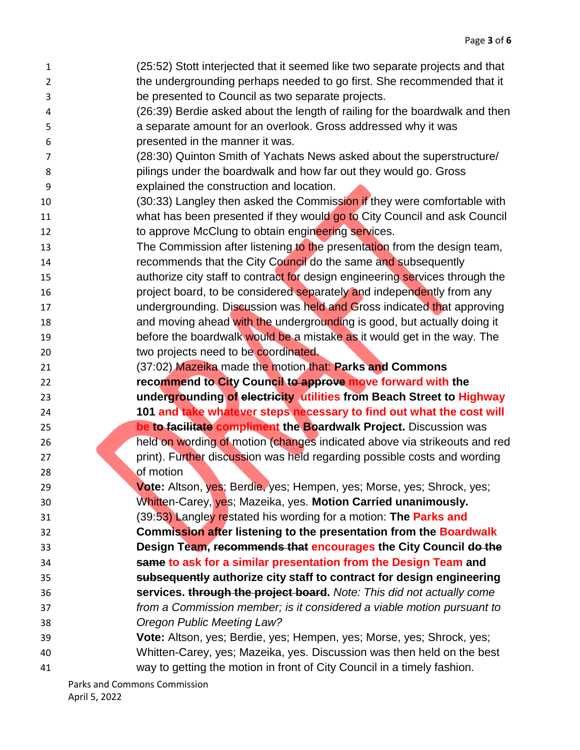(25:52) Stott interjected that it seemed like two separate projects and that the undergrounding perhaps needed to go first. She recommended that it be presented to Council as two separate projects. (26:39) Berdie asked about the length of railing for the boardwalk and then a separate amount for an overlook. Gross addressed why it was presented in the manner it was. (28:30) Quinton Smith of Yachats News asked about the superstructure/ pilings under the boardwalk and how far out they would go. Gross explained the construction and location. 10 (30:33) Langley then asked the Commission if they were comfortable with 11 what has been presented if they would go to City Council and ask Council to approve McClung to obtain engineering services. 13 The Commission after listening to the presentation from the design team, recommends that the City Council do the same and subsequently **authorize city staff to contract for design engineering services through the project board, to be considered separately and independently from any**  undergrounding. Discussion was held and Gross indicated that approving **and moving ahead with the undergrounding is good, but actually doing it** 19 before the boardwalk would be a mistake as it would get in the way. The two projects need to be coordinated. (37:02) Mazeika made the motion that: **Parks and Commons recommend to City Council to approve move forward with the undergrounding of electricity utilities from Beach Street to Highway 101 and take whatever steps necessary to find out what the cost will be to facilitate compliment the Boardwalk Project.** Discussion was held on wording of motion (changes indicated above via strikeouts and red **print). Further discussion was held regarding possible costs and wording** 28 of motion **Vote:** Altson, yes; Berdie, yes; Hempen, yes; Morse, yes; Shrock, yes; Whitten-Carey, yes; Mazeika, yes. **Motion Carried unanimously.** (39:53) Langley restated his wording for a motion: **The Parks and Commission after listening to the presentation from the Boardwalk Design Team, recommends that encourages the City Council do the same to ask for a similar presentation from the Design Team and subsequently authorize city staff to contract for design engineering services. through the project board.** *Note: This did not actually come from a Commission member; is it considered a viable motion pursuant to Oregon Public Meeting Law?* **Vote:** Altson, yes; Berdie, yes; Hempen, yes; Morse, yes; Shrock, yes; Whitten-Carey, yes; Mazeika, yes. Discussion was then held on the best way to getting the motion in front of City Council in a timely fashion.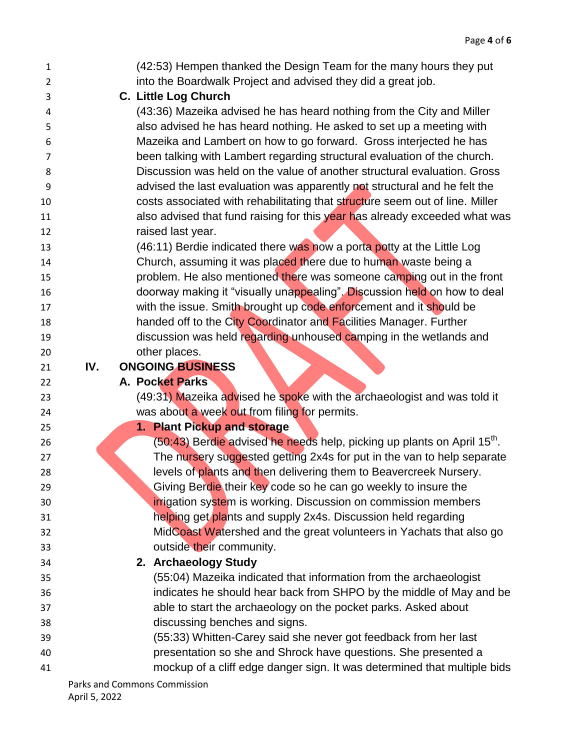| 1              |     | (42:53) Hempen thanked the Design Team for the many hours they put                  |
|----------------|-----|-------------------------------------------------------------------------------------|
| $\overline{2}$ |     | into the Boardwalk Project and advised they did a great job.                        |
| 3              |     | C. Little Log Church                                                                |
| 4              |     | (43:36) Mazeika advised he has heard nothing from the City and Miller               |
| 5              |     | also advised he has heard nothing. He asked to set up a meeting with                |
| 6              |     | Mazeika and Lambert on how to go forward. Gross interjected he has                  |
| 7              |     | been talking with Lambert regarding structural evaluation of the church.            |
| 8              |     | Discussion was held on the value of another structural evaluation. Gross            |
| 9              |     | advised the last evaluation was apparently not structural and he felt the           |
| 10             |     | costs associated with rehabilitating that structure seem out of line. Miller        |
| 11             |     | also advised that fund raising for this year has already exceeded what was          |
| 12             |     | raised last year.                                                                   |
| 13             |     | (46:11) Berdie indicated there was now a porta potty at the Little Log              |
| 14             |     | Church, assuming it was placed there due to human waste being a                     |
| 15             |     | problem. He also mentioned there was someone camping out in the front               |
| 16             |     | doorway making it "visually unappealing". Discussion held on how to deal            |
| 17             |     | with the issue. Smith brought up code enforcement and it should be                  |
| 18             |     | handed off to the City Coordinator and Facilities Manager. Further                  |
| 19             |     | discussion was held regarding unhoused camping in the wetlands and                  |
| 20             |     | other places.                                                                       |
| 21             | IV. | <b>ONGOING BUSINESS</b>                                                             |
| 22             |     | <b>A. Pocket Parks</b>                                                              |
| 23             |     | (49:31) Mazeika advised he spoke with the archaeologist and was told it             |
| 24             |     | was about a week out from filing for permits.                                       |
| 25             |     | 1. Plant Pickup and storage                                                         |
| 26             |     | (50:43) Berdie advised he needs help, picking up plants on April 15 <sup>th</sup> . |
| 27             |     | The nursery suggested getting 2x4s for put in the van to help separate              |
| 28             |     | levels of plants and then delivering them to Beavercreek Nursery.                   |
| 29             |     | Giving Berdie their key code so he can go weekly to insure the                      |
| 30             |     | irrigation system is working. Discussion on commission members                      |
| 31             |     | helping get plants and supply 2x4s. Discussion held regarding                       |
| 32             |     | MidCoast Watershed and the great volunteers in Yachats that also go                 |
| 33             |     | outside their community.                                                            |
| 34             |     | 2. Archaeology Study                                                                |
| 35             |     | (55:04) Mazeika indicated that information from the archaeologist                   |
| 36             |     | indicates he should hear back from SHPO by the middle of May and be                 |
| 37             |     | able to start the archaeology on the pocket parks. Asked about                      |
| 38             |     | discussing benches and signs.                                                       |
| 39             |     | (55:33) Whitten-Carey said she never got feedback from her last                     |
| 40             |     | presentation so she and Shrock have questions. She presented a                      |
| 41             |     | mockup of a cliff edge danger sign. It was determined that multiple bids            |
|                |     | Parks and Commons Commission                                                        |

April 5, 2022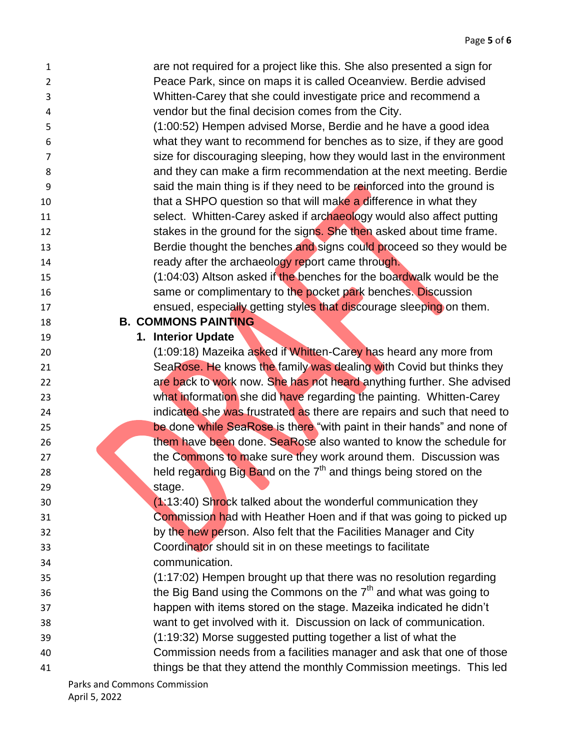| 1              | are not required for a project like this. She also presented a sign for       |
|----------------|-------------------------------------------------------------------------------|
| $\overline{2}$ | Peace Park, since on maps it is called Oceanview. Berdie advised              |
| 3              | Whitten-Carey that she could investigate price and recommend a                |
| 4              | vendor but the final decision comes from the City.                            |
| 5              | (1:00:52) Hempen advised Morse, Berdie and he have a good idea                |
| 6              | what they want to recommend for benches as to size, if they are good          |
| 7              | size for discouraging sleeping, how they would last in the environment        |
| 8              | and they can make a firm recommendation at the next meeting. Berdie           |
| 9              | said the main thing is if they need to be reinforced into the ground is       |
| 10             | that a SHPO question so that will make a difference in what they              |
| 11             | select. Whitten-Carey asked if archaeology would also affect putting          |
| 12             | stakes in the ground for the signs. She then asked about time frame.          |
| 13             | Berdie thought the benches and signs could proceed so they would be           |
| 14             | ready after the archaeology report came through.                              |
| 15             | (1:04:03) Altson asked if the benches for the boardwalk would be the          |
| 16             | same or complimentary to the pocket park benches. Discussion                  |
| 17             | ensued, especially getting styles that discourage sleeping on them.           |
| 18             | <b>B. COMMONS PAINTING</b>                                                    |
| 19             | 1. Interior Update                                                            |
| 20             | (1:09:18) Mazeika asked if Whitten-Carey has heard any more from              |
| 21             | SeaRose. He knows the family was dealing with Covid but thinks they           |
| 22             | are back to work now. She has not heard anything further. She advised         |
| 23             | what information she did have regarding the painting. Whitten-Carey           |
| 24             | indicated she was frustrated as there are repairs and such that need to       |
| 25             | be done while SeaRose is there "with paint in their hands" and none of        |
| 26             | them have been done. SeaRose also wanted to know the schedule for             |
| 27             | the Commons to make sure they work around them. Discussion was                |
| 28             | held regarding Big Band on the 7 <sup>th</sup> and things being stored on the |
| 29             | stage.                                                                        |
| 30             | $(1:13:40)$ Shrock talked about the wonderful communication they              |
| 31             | Commission had with Heather Hoen and if that was going to picked up           |
| 32             | by the new person. Also felt that the Facilities Manager and City             |
| 33             | Coordinator should sit in on these meetings to facilitate                     |
| 34             | communication.                                                                |
| 35             | (1:17:02) Hempen brought up that there was no resolution regarding            |
| 36             | the Big Band using the Commons on the $7th$ and what was going to             |
| 37             | happen with items stored on the stage. Mazeika indicated he didn't            |
| 38             | want to get involved with it. Discussion on lack of communication.            |
| 39             | (1:19:32) Morse suggested putting together a list of what the                 |
| 40             | Commission needs from a facilities manager and ask that one of those          |
| 41             | things be that they attend the monthly Commission meetings. This led          |
|                |                                                                               |